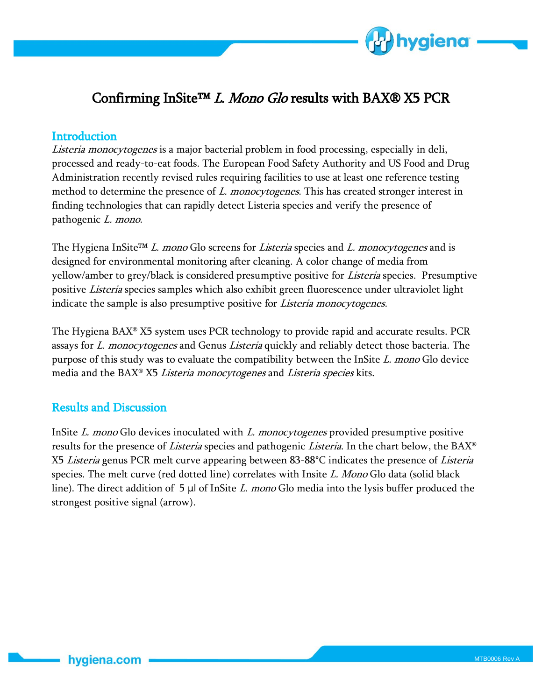

## Confirming InSite<sup>TM</sup> L. Mono Glo results with BAX® X5 PCR

## **Introduction**

Listeria monocytogenes is a major bacterial problem in food processing, especially in deli, processed and ready-to-eat foods. The European Food Safety Authority and US Food and Drug Administration recently revised rules requiring facilities to use at least one reference testing method to determine the presence of L. monocytogenes. This has created stronger interest in finding technologies that can rapidly detect Listeria species and verify the presence of pathogenic L. mono.

The Hygiena InSite™ L. mono Glo screens for Listeria species and L. monocytogenes and is designed for environmental monitoring after cleaning. A color change of media from yellow/amber to grey/black is considered presumptive positive for Listeria species. Presumptive positive Listeria species samples which also exhibit green fluorescence under ultraviolet light indicate the sample is also presumptive positive for *Listeria monocytogenes*.

The Hygiena BAX® X5 system uses PCR technology to provide rapid and accurate results. PCR assays for *L. monocytogenes* and Genus *Listeria* quickly and reliably detect those bacteria. The purpose of this study was to evaluate the compatibility between the InSite L. mono Glo device media and the BAX® X5 Listeria monocytogenes and Listeria species kits.

## Results and Discussion

InSite L. mono Glo devices inoculated with L. monocytogenes provided presumptive positive results for the presence of *Listeria* species and pathogenic *Listeria*. In the chart below, the BAX<sup>®</sup> X5 Listeria genus PCR melt curve appearing between 83-88°C indicates the presence of Listeria species. The melt curve (red dotted line) correlates with Insite  $L$ . Mono Glo data (solid black line). The direct addition of 5  $\mu$  of InSite *L. mono* Glo media into the lysis buffer produced the strongest positive signal (arrow).